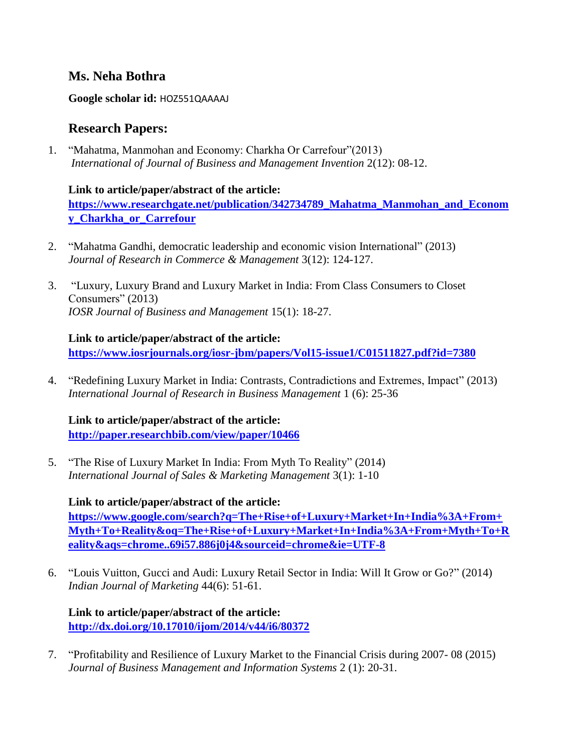## **Ms. Neha Bothra**

**Google scholar id:** HOZ551QAAAAJ

## **Research Papers:**

1. "Mahatma, Manmohan and Economy: Charkha Or Carrefour"(2013) *International of Journal of Business and Management Invention* 2(12): 08-12.

**Link to article/paper/abstract of the article: [https://www.researchgate.net/publication/342734789\\_Mahatma\\_Manmohan\\_and\\_Econom](https://www.researchgate.net/publication/342734789_Mahatma_Manmohan_and_Economy_Charkha_or_Carrefour) [y\\_Charkha\\_or\\_Carrefour](https://www.researchgate.net/publication/342734789_Mahatma_Manmohan_and_Economy_Charkha_or_Carrefour)**

- 2. "Mahatma Gandhi, democratic leadership and economic vision International" (2013) *Journal of Research in Commerce & Management* 3(12): 124-127.
- 3. "Luxury, Luxury Brand and Luxury Market in India: From Class Consumers to Closet Consumers" (2013) *IOSR Journal of Business and Management* 15(1): 18-27.

**Link to article/paper/abstract of the article:**

**<https://www.iosrjournals.org/iosr-jbm/papers/Vol15-issue1/C01511827.pdf?id=7380>**

4. "Redefining Luxury Market in India: Contrasts, Contradictions and Extremes, Impact" (2013) *International Journal of Research in Business Management* 1 (6): 25-36

**Link to article/paper/abstract of the article: <http://paper.researchbib.com/view/paper/10466>**

5. "The Rise of Luxury Market In India: From Myth To Reality" (2014) *International Journal of Sales & Marketing Management* 3(1): 1-10

**Link to article/paper/abstract of the article: [https://www.google.com/search?q=The+Rise+of+Luxury+Market+In+India%3A+From+](https://www.google.com/search?q=The+Rise+of+Luxury+Market+In+India%3A+From+Myth+To+Reality&oq=The+Rise+of+Luxury+Market+In+India%3A+From+Myth+To+Reality&aqs=chrome..69i57.886j0j4&sourceid=chrome&ie=UTF-8) [Myth+To+Reality&oq=The+Rise+of+Luxury+Market+In+India%3A+From+Myth+To+R](https://www.google.com/search?q=The+Rise+of+Luxury+Market+In+India%3A+From+Myth+To+Reality&oq=The+Rise+of+Luxury+Market+In+India%3A+From+Myth+To+Reality&aqs=chrome..69i57.886j0j4&sourceid=chrome&ie=UTF-8) [eality&aqs=chrome..69i57.886j0j4&sourceid=chrome&ie=UTF-8](https://www.google.com/search?q=The+Rise+of+Luxury+Market+In+India%3A+From+Myth+To+Reality&oq=The+Rise+of+Luxury+Market+In+India%3A+From+Myth+To+Reality&aqs=chrome..69i57.886j0j4&sourceid=chrome&ie=UTF-8)**

6. "Louis Vuitton, Gucci and Audi: Luxury Retail Sector in India: Will It Grow or Go?" (2014) *Indian Journal of Marketing* 44(6): 51-61.

**Link to article/paper/abstract of the article: <http://dx.doi.org/10.17010/ijom/2014/v44/i6/80372>**

7. "Profitability and Resilience of Luxury Market to the Financial Crisis during 2007- 08 (2015) *Journal of Business Management and Information Systems* 2 (1): 20-31.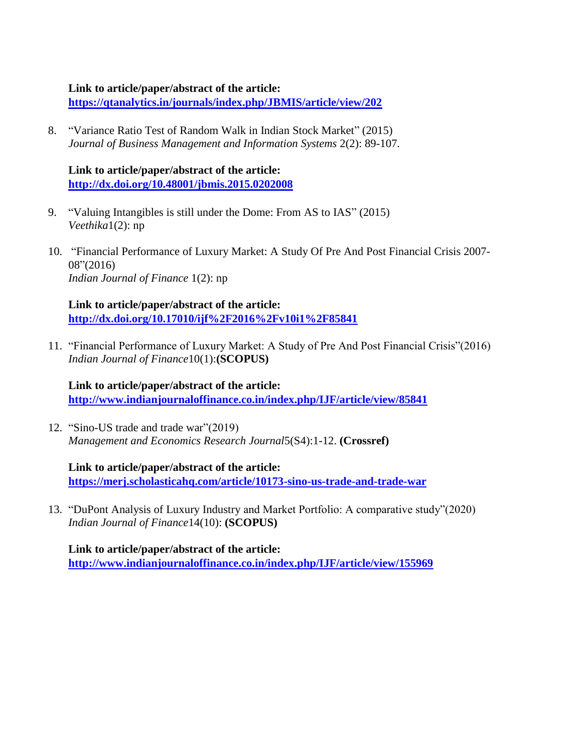#### **Link to article/paper/abstract of the article:**

**<https://qtanalytics.in/journals/index.php/JBMIS/article/view/202>**

8. "Variance Ratio Test of Random Walk in Indian Stock Market" (2015) *Journal of Business Management and Information Systems* 2(2): 89-107.

**Link to article/paper/abstract of the article: <http://dx.doi.org/10.48001/jbmis.2015.0202008>**

- 9. "Valuing Intangibles is still under the Dome: From AS to IAS" (2015) *Veethika*1(2): np
- 10. "Financial Performance of Luxury Market: A Study Of Pre And Post Financial Crisis 2007- 08"(2016) *Indian Journal of Finance* 1(2): np

**Link to article/paper/abstract of the article: <http://dx.doi.org/10.17010/ijf%2F2016%2Fv10i1%2F85841>**

11. "Financial Performance of Luxury Market: A Study of Pre And Post Financial Crisis"(2016) *Indian Journal of Finance*10(1):**(SCOPUS)**

**Link to article/paper/abstract of the article:**

**<http://www.indianjournaloffinance.co.in/index.php/IJF/article/view/85841>**

12. "Sino-US trade and trade war"(2019) *Management and Economics Research Journal*5(S4):1-12. **(Crossref)**

**Link to article/paper/abstract of the article:**

**<https://merj.scholasticahq.com/article/10173-sino-us-trade-and-trade-war>**

13. "DuPont Analysis of Luxury Industry and Market Portfolio: A comparative study"(2020) *Indian Journal of Finance*14(10): **(SCOPUS)**

**Link to article/paper/abstract of the article: <http://www.indianjournaloffinance.co.in/index.php/IJF/article/view/155969>**